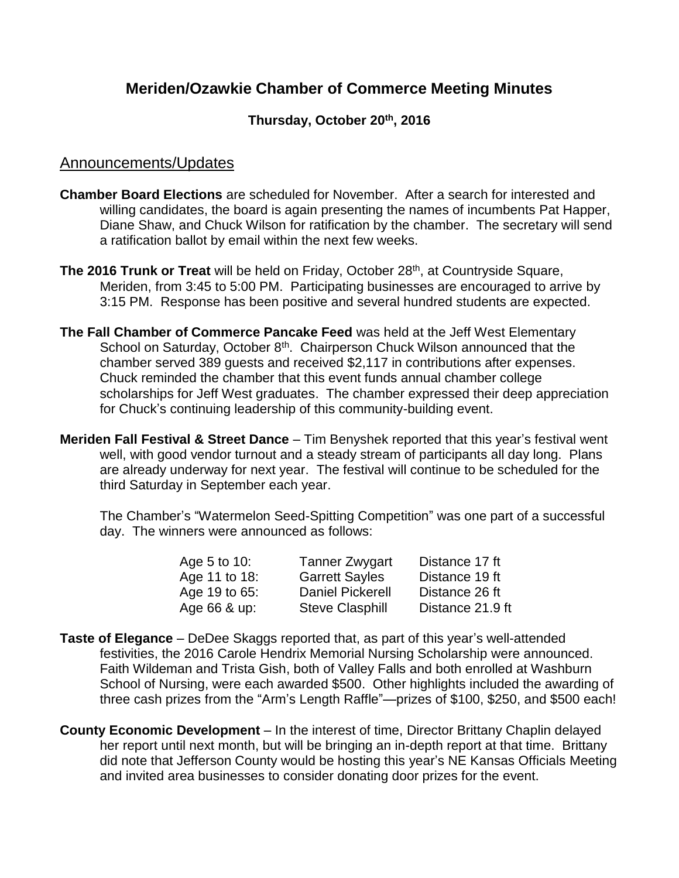# **Meriden/Ozawkie Chamber of Commerce Meeting Minutes**

#### **Thursday, October 20th , 2016**

#### Announcements/Updates

- **Chamber Board Elections** are scheduled for November. After a search for interested and willing candidates, the board is again presenting the names of incumbents Pat Happer, Diane Shaw, and Chuck Wilson for ratification by the chamber. The secretary will send a ratification ballot by email within the next few weeks.
- **The 2016 Trunk or Treat** will be held on Friday, October 28<sup>th</sup>, at Countryside Square, Meriden, from 3:45 to 5:00 PM. Participating businesses are encouraged to arrive by 3:15 PM. Response has been positive and several hundred students are expected.
- **The Fall Chamber of Commerce Pancake Feed** was held at the Jeff West Elementary School on Saturday, October 8<sup>th</sup>. Chairperson Chuck Wilson announced that the chamber served 389 guests and received \$2,117 in contributions after expenses. Chuck reminded the chamber that this event funds annual chamber college scholarships for Jeff West graduates. The chamber expressed their deep appreciation for Chuck's continuing leadership of this community-building event.
- **Meriden Fall Festival & Street Dance**  Tim Benyshek reported that this year's festival went well, with good vendor turnout and a steady stream of participants all day long. Plans are already underway for next year. The festival will continue to be scheduled for the third Saturday in September each year.

The Chamber's "Watermelon Seed-Spitting Competition" was one part of a successful day. The winners were announced as follows:

| Age 5 to 10:  | <b>Tanner Zwygart</b>   | Distance 17 ft   |
|---------------|-------------------------|------------------|
| Age 11 to 18: | <b>Garrett Sayles</b>   | Distance 19 ft   |
| Age 19 to 65: | <b>Daniel Pickerell</b> | Distance 26 ft   |
| Age 66 & up:  | <b>Steve Clasphill</b>  | Distance 21.9 ft |

- **Taste of Elegance** DeDee Skaggs reported that, as part of this year's well-attended festivities, the 2016 Carole Hendrix Memorial Nursing Scholarship were announced. Faith Wildeman and Trista Gish, both of Valley Falls and both enrolled at Washburn School of Nursing, were each awarded \$500. Other highlights included the awarding of three cash prizes from the "Arm's Length Raffle"—prizes of \$100, \$250, and \$500 each!
- **County Economic Development** In the interest of time, Director Brittany Chaplin delayed her report until next month, but will be bringing an in-depth report at that time. Brittany did note that Jefferson County would be hosting this year's NE Kansas Officials Meeting and invited area businesses to consider donating door prizes for the event.